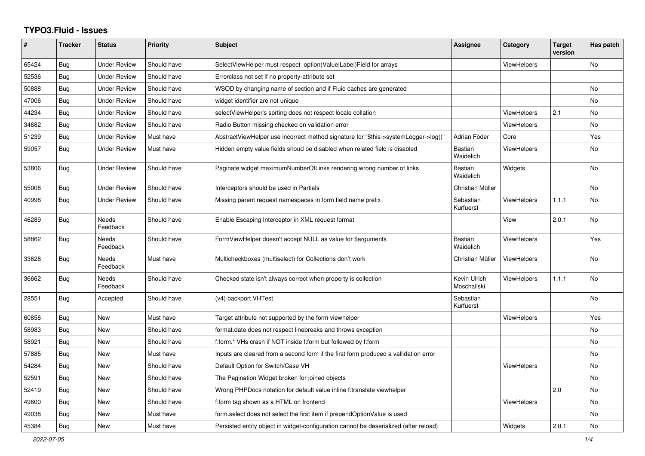## **TYPO3.Fluid - Issues**

| $\pmb{\#}$ | <b>Tracker</b> | <b>Status</b>            | <b>Priority</b> | Subject                                                                               | <b>Assignee</b>             | Category           | <b>Target</b><br>version | Has patch |
|------------|----------------|--------------------------|-----------------|---------------------------------------------------------------------------------------|-----------------------------|--------------------|--------------------------|-----------|
| 65424      | <b>Bug</b>     | <b>Under Review</b>      | Should have     | SelectViewHelper must respect option(Value Label)Field for arrays                     |                             | <b>ViewHelpers</b> |                          | <b>No</b> |
| 52536      | Bug            | <b>Under Review</b>      | Should have     | Errorclass not set if no property-attribute set                                       |                             |                    |                          |           |
| 50888      | <b>Bug</b>     | <b>Under Review</b>      | Should have     | WSOD by changing name of section and if Fluid caches are generated                    |                             |                    |                          | <b>No</b> |
| 47006      | Bug            | <b>Under Review</b>      | Should have     | widget identifier are not unique                                                      |                             |                    |                          | No        |
| 44234      | Bug            | <b>Under Review</b>      | Should have     | selectViewHelper's sorting does not respect locale collation                          |                             | ViewHelpers        | 2.1                      | No        |
| 34682      | Bug            | <b>Under Review</b>      | Should have     | Radio Button missing checked on validation error                                      |                             | ViewHelpers        |                          | <b>No</b> |
| 51239      | Bug            | <b>Under Review</b>      | Must have       | AbstractViewHelper use incorrect method signature for "\$this->systemLogger->log()"   | Adrian Föder                | Core               |                          | Yes       |
| 59057      | Bug            | <b>Under Review</b>      | Must have       | Hidden empty value fields shoud be disabled when related field is disabled            | <b>Bastian</b><br>Waidelich | <b>ViewHelpers</b> |                          | No        |
| 53806      | Bug            | <b>Under Review</b>      | Should have     | Paginate widget maximumNumberOfLinks rendering wrong number of links                  | Bastian<br>Waidelich        | Widgets            |                          | <b>No</b> |
| 55008      | Bug            | <b>Under Review</b>      | Should have     | Interceptors should be used in Partials                                               | Christian Müller            |                    |                          | <b>No</b> |
| 40998      | Bug            | <b>Under Review</b>      | Should have     | Missing parent request namespaces in form field name prefix                           | Sebastian<br>Kurfuerst      | <b>ViewHelpers</b> | 1.1.1                    | No        |
| 46289      | Bug            | Needs<br>Feedback        | Should have     | Enable Escaping Interceptor in XML request format                                     |                             | View               | 2.0.1                    | <b>No</b> |
| 58862      | Bug            | Needs<br>Feedback        | Should have     | FormViewHelper doesn't accept NULL as value for \$arguments                           | <b>Bastian</b><br>Waidelich | <b>ViewHelpers</b> |                          | Yes       |
| 33628      | Bug            | <b>Needs</b><br>Feedback | Must have       | Multicheckboxes (multiselect) for Collections don't work                              | Christian Müller            | <b>ViewHelpers</b> |                          | <b>No</b> |
| 36662      | <b>Bug</b>     | Needs<br>Feedback        | Should have     | Checked state isn't always correct when property is collection                        | Kevin Ulrich<br>Moschallski | ViewHelpers        | 1.1.1                    | No        |
| 28551      | Bug            | Accepted                 | Should have     | (v4) backport VHTest                                                                  | Sebastian<br>Kurfuerst      |                    |                          | No        |
| 60856      | Bug            | <b>New</b>               | Must have       | Target attribute not supported by the form viewhelper                                 |                             | <b>ViewHelpers</b> |                          | Yes       |
| 58983      | Bug            | New                      | Should have     | format.date does not respect linebreaks and throws exception                          |                             |                    |                          | No        |
| 58921      | Bug            | New                      | Should have     | f:form.* VHs crash if NOT inside f:form but followed by f:form                        |                             |                    |                          | <b>No</b> |
| 57885      | Bug            | New                      | Must have       | Inputs are cleared from a second form if the first form produced a vallidation error  |                             |                    |                          | <b>No</b> |
| 54284      | Bug            | <b>New</b>               | Should have     | Default Option for Switch/Case VH                                                     |                             | <b>ViewHelpers</b> |                          | <b>No</b> |
| 52591      | Bug            | <b>New</b>               | Should have     | The Pagination Widget broken for joined objects                                       |                             |                    |                          | No        |
| 52419      | <b>Bug</b>     | New                      | Should have     | Wrong PHPDocs notation for default value inline f:translate viewhelper                |                             |                    | 2.0                      | <b>No</b> |
| 49600      | Bug            | <b>New</b>               | Should have     | f:form tag shown as a HTML on frontend                                                |                             | ViewHelpers        |                          | <b>No</b> |
| 49038      | <b>Bug</b>     | New                      | Must have       | form.select does not select the first item if prependOptionValue is used              |                             |                    |                          | <b>No</b> |
| 45384      | Bug            | New                      | Must have       | Persisted entity object in widget-configuration cannot be deserialized (after reload) |                             | Widgets            | 2.0.1                    | <b>No</b> |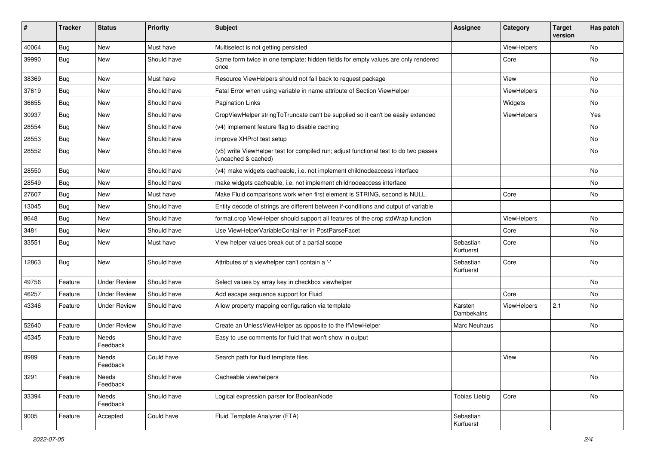| ∦     | <b>Tracker</b> | <b>Status</b>       | <b>Priority</b> | <b>Subject</b>                                                                                              | <b>Assignee</b>        | Category    | <b>Target</b><br>version | Has patch |
|-------|----------------|---------------------|-----------------|-------------------------------------------------------------------------------------------------------------|------------------------|-------------|--------------------------|-----------|
| 40064 | Bug            | New                 | Must have       | Multiselect is not getting persisted                                                                        |                        | ViewHelpers |                          | No        |
| 39990 | Bug            | New                 | Should have     | Same form twice in one template: hidden fields for empty values are only rendered<br>once                   |                        | Core        |                          | No        |
| 38369 | Bug            | New                 | Must have       | Resource ViewHelpers should not fall back to request package                                                |                        | View        |                          | No        |
| 37619 | Bug            | New                 | Should have     | Fatal Error when using variable in name attribute of Section ViewHelper                                     |                        | ViewHelpers |                          | No        |
| 36655 | Bug            | New                 | Should have     | <b>Pagination Links</b>                                                                                     |                        | Widgets     |                          | No        |
| 30937 | Bug            | New                 | Should have     | CropViewHelper stringToTruncate can't be supplied so it can't be easily extended                            |                        | ViewHelpers |                          | Yes       |
| 28554 | Bug            | New                 | Should have     | (v4) implement feature flag to disable caching                                                              |                        |             |                          | No        |
| 28553 | Bug            | New                 | Should have     | improve XHProf test setup                                                                                   |                        |             |                          | No        |
| 28552 | Bug            | New                 | Should have     | (v5) write ViewHelper test for compiled run; adjust functional test to do two passes<br>(uncached & cached) |                        |             |                          | No        |
| 28550 | Bug            | New                 | Should have     | (v4) make widgets cacheable, i.e. not implement childnodeaccess interface                                   |                        |             |                          | No        |
| 28549 | Bug            | New                 | Should have     | make widgets cacheable, i.e. not implement childnodeaccess interface                                        |                        |             |                          | No        |
| 27607 | Bug            | New                 | Must have       | Make Fluid comparisons work when first element is STRING, second is NULL.                                   |                        | Core        |                          | No        |
| 13045 | <b>Bug</b>     | New                 | Should have     | Entity decode of strings are different between if-conditions and output of variable                         |                        |             |                          |           |
| 8648  | <b>Bug</b>     | New                 | Should have     | format.crop ViewHelper should support all features of the crop stdWrap function                             |                        | ViewHelpers |                          | No        |
| 3481  | Bug            | New                 | Should have     | Use ViewHelperVariableContainer in PostParseFacet                                                           |                        | Core        |                          | No        |
| 33551 | Bug            | New                 | Must have       | View helper values break out of a partial scope                                                             | Sebastian<br>Kurfuerst | Core        |                          | No        |
| 12863 | Bug            | New                 | Should have     | Attributes of a viewhelper can't contain a '-'                                                              | Sebastian<br>Kurfuerst | Core        |                          | <b>No</b> |
| 49756 | Feature        | <b>Under Review</b> | Should have     | Select values by array key in checkbox viewhelper                                                           |                        |             |                          | No.       |
| 46257 | Feature        | <b>Under Review</b> | Should have     | Add escape sequence support for Fluid                                                                       |                        | Core        |                          | No        |
| 43346 | Feature        | <b>Under Review</b> | Should have     | Allow property mapping configuration via template                                                           | Karsten<br>Dambekalns  | ViewHelpers | 2.1                      | No        |
| 52640 | Feature        | <b>Under Review</b> | Should have     | Create an UnlessViewHelper as opposite to the IfViewHelper                                                  | <b>Marc Neuhaus</b>    |             |                          | No.       |
| 45345 | Feature        | Needs<br>Feedback   | Should have     | Easy to use comments for fluid that won't show in output                                                    |                        |             |                          |           |
| 8989  | Feature        | Needs<br>Feedback   | Could have      | Search path for fluid template files                                                                        |                        | View        |                          | No        |
| 3291  | Feature        | Needs<br>Feedback   | Should have     | Cacheable viewhelpers                                                                                       |                        |             |                          | No        |
| 33394 | Feature        | Needs<br>Feedback   | Should have     | Logical expression parser for BooleanNode                                                                   | <b>Tobias Liebig</b>   | Core        |                          | No        |
| 9005  | Feature        | Accepted            | Could have      | Fluid Template Analyzer (FTA)                                                                               | Sebastian<br>Kurfuerst |             |                          |           |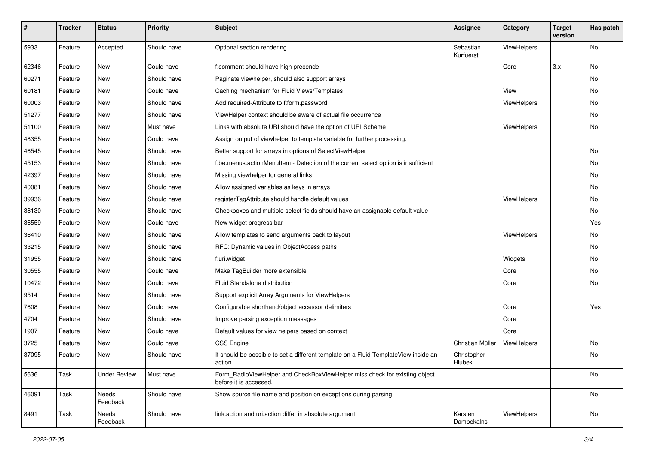| $\sharp$ | <b>Tracker</b> | <b>Status</b>       | <b>Priority</b> | <b>Subject</b>                                                                                       | Assignee               | Category    | <b>Target</b><br>version | Has patch |
|----------|----------------|---------------------|-----------------|------------------------------------------------------------------------------------------------------|------------------------|-------------|--------------------------|-----------|
| 5933     | Feature        | Accepted            | Should have     | Optional section rendering                                                                           | Sebastian<br>Kurfuerst | ViewHelpers |                          | <b>No</b> |
| 62346    | Feature        | New                 | Could have      | f:comment should have high precende                                                                  |                        | Core        | 3.x                      | No        |
| 60271    | Feature        | New                 | Should have     | Paginate viewhelper, should also support arrays                                                      |                        |             |                          | No        |
| 60181    | Feature        | New                 | Could have      | Caching mechanism for Fluid Views/Templates                                                          |                        | View        |                          | No        |
| 60003    | Feature        | New                 | Should have     | Add required-Attribute to f:form.password                                                            |                        | ViewHelpers |                          | No        |
| 51277    | Feature        | New                 | Should have     | ViewHelper context should be aware of actual file occurrence                                         |                        |             |                          | No        |
| 51100    | Feature        | New                 | Must have       | Links with absolute URI should have the option of URI Scheme                                         |                        | ViewHelpers |                          | No        |
| 48355    | Feature        | New                 | Could have      | Assign output of viewhelper to template variable for further processing.                             |                        |             |                          |           |
| 46545    | Feature        | New                 | Should have     | Better support for arrays in options of SelectViewHelper                                             |                        |             |                          | No        |
| 45153    | Feature        | <b>New</b>          | Should have     | f:be.menus.actionMenuItem - Detection of the current select option is insufficient                   |                        |             |                          | No        |
| 42397    | Feature        | New                 | Should have     | Missing viewhelper for general links                                                                 |                        |             |                          | No        |
| 40081    | Feature        | New                 | Should have     | Allow assigned variables as keys in arrays                                                           |                        |             |                          | No        |
| 39936    | Feature        | New                 | Should have     | registerTagAttribute should handle default values                                                    |                        | ViewHelpers |                          | No        |
| 38130    | Feature        | New                 | Should have     | Checkboxes and multiple select fields should have an assignable default value                        |                        |             |                          | No        |
| 36559    | Feature        | New                 | Could have      | New widget progress bar                                                                              |                        |             |                          | Yes       |
| 36410    | Feature        | New                 | Should have     | Allow templates to send arguments back to layout                                                     |                        | ViewHelpers |                          | No        |
| 33215    | Feature        | New                 | Should have     | RFC: Dynamic values in ObjectAccess paths                                                            |                        |             |                          | No        |
| 31955    | Feature        | New                 | Should have     | f:uri.widget                                                                                         |                        | Widgets     |                          | No        |
| 30555    | Feature        | New                 | Could have      | Make TagBuilder more extensible                                                                      |                        | Core        |                          | No        |
| 10472    | Feature        | New                 | Could have      | Fluid Standalone distribution                                                                        |                        | Core        |                          | No        |
| 9514     | Feature        | New                 | Should have     | Support explicit Array Arguments for ViewHelpers                                                     |                        |             |                          |           |
| 7608     | Feature        | New                 | Could have      | Configurable shorthand/object accessor delimiters                                                    |                        | Core        |                          | Yes       |
| 4704     | Feature        | New                 | Should have     | Improve parsing exception messages                                                                   |                        | Core        |                          |           |
| 1907     | Feature        | New                 | Could have      | Default values for view helpers based on context                                                     |                        | Core        |                          |           |
| 3725     | Feature        | New                 | Could have      | CSS Engine                                                                                           | Christian Müller       | ViewHelpers |                          | No        |
| 37095    | Feature        | New                 | Should have     | It should be possible to set a different template on a Fluid TemplateView inside an<br>action        | Christopher<br>Hlubek  |             |                          | No        |
| 5636     | Task           | <b>Under Review</b> | Must have       | Form_RadioViewHelper and CheckBoxViewHelper miss check for existing object<br>before it is accessed. |                        |             |                          | No        |
| 46091    | Task           | Needs<br>Feedback   | Should have     | Show source file name and position on exceptions during parsing                                      |                        |             |                          | No        |
| 8491     | Task           | Needs<br>Feedback   | Should have     | link.action and uri.action differ in absolute argument                                               | Karsten<br>Dambekalns  | ViewHelpers |                          | No        |